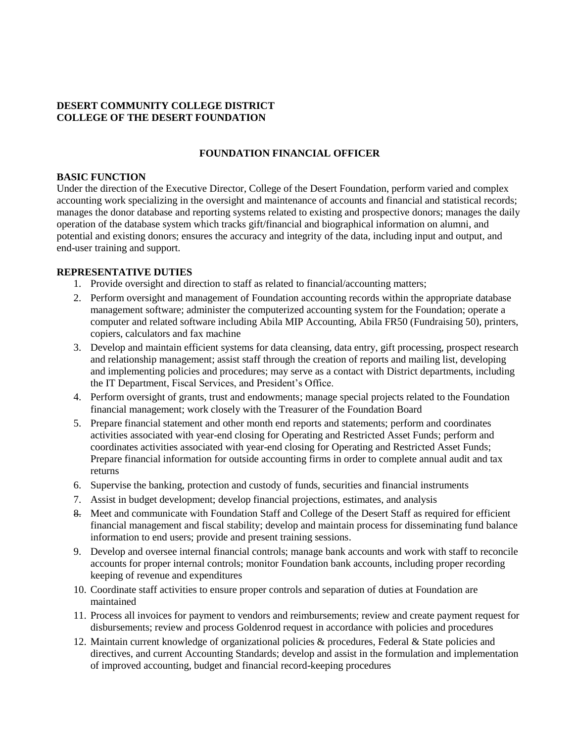### **DESERT COMMUNITY COLLEGE DISTRICT COLLEGE OF THE DESERT FOUNDATION**

#### **FOUNDATION FINANCIAL OFFICER**

#### **BASIC FUNCTION**

Under the direction of the Executive Director, College of the Desert Foundation, perform varied and complex accounting work specializing in the oversight and maintenance of accounts and financial and statistical records; manages the donor database and reporting systems related to existing and prospective donors; manages the daily operation of the database system which tracks gift/financial and biographical information on alumni, and potential and existing donors; ensures the accuracy and integrity of the data, including input and output, and end-user training and support.

#### **REPRESENTATIVE DUTIES**

- 1. Provide oversight and direction to staff as related to financial/accounting matters;
- 2. Perform oversight and management of Foundation accounting records within the appropriate database management software; administer the computerized accounting system for the Foundation; operate a computer and related software including Abila MIP Accounting, Abila FR50 (Fundraising 50), printers, copiers, calculators and fax machine
- 3. Develop and maintain efficient systems for data cleansing, data entry, gift processing, prospect research and relationship management; assist staff through the creation of reports and mailing list, developing and implementing policies and procedures; may serve as a contact with District departments, including the IT Department, Fiscal Services, and President's Office.
- 4. Perform oversight of grants, trust and endowments; manage special projects related to the Foundation financial management; work closely with the Treasurer of the Foundation Board
- 5. Prepare financial statement and other month end reports and statements; perform and coordinates activities associated with year-end closing for Operating and Restricted Asset Funds; perform and coordinates activities associated with year-end closing for Operating and Restricted Asset Funds; Prepare financial information for outside accounting firms in order to complete annual audit and tax returns
- 6. Supervise the banking, protection and custody of funds, securities and financial instruments
- 7. Assist in budget development; develop financial projections, estimates, and analysis
- 8. Meet and communicate with Foundation Staff and College of the Desert Staff as required for efficient financial management and fiscal stability; develop and maintain process for disseminating fund balance information to end users; provide and present training sessions.
- 9. Develop and oversee internal financial controls; manage bank accounts and work with staff to reconcile accounts for proper internal controls; monitor Foundation bank accounts, including proper recording keeping of revenue and expenditures
- 10. Coordinate staff activities to ensure proper controls and separation of duties at Foundation are maintained
- 11. Process all invoices for payment to vendors and reimbursements; review and create payment request for disbursements; review and process Goldenrod request in accordance with policies and procedures
- 12. Maintain current knowledge of organizational policies & procedures, Federal & State policies and directives, and current Accounting Standards; develop and assist in the formulation and implementation of improved accounting, budget and financial record-keeping procedures